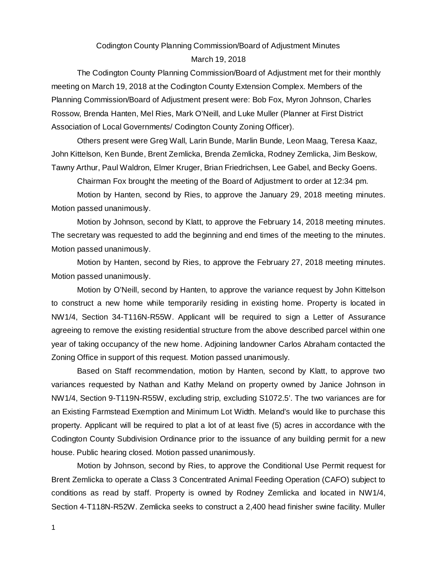# Codington County Planning Commission/Board of Adjustment Minutes March 19, 2018

The Codington County Planning Commission/Board of Adjustment met for their monthly meeting on March 19, 2018 at the Codington County Extension Complex. Members of the Planning Commission/Board of Adjustment present were: Bob Fox, Myron Johnson, Charles Rossow, Brenda Hanten, Mel Ries, Mark O'Neill, and Luke Muller (Planner at First District Association of Local Governments/ Codington County Zoning Officer).

Others present were Greg Wall, Larin Bunde, Marlin Bunde, Leon Maag, Teresa Kaaz, John Kittelson, Ken Bunde, Brent Zemlicka, Brenda Zemlicka, Rodney Zemlicka, Jim Beskow, Tawny Arthur, Paul Waldron, Elmer Kruger, Brian Friedrichsen, Lee Gabel, and Becky Goens.

Chairman Fox brought the meeting of the Board of Adjustment to order at 12:34 pm.

Motion by Hanten, second by Ries, to approve the January 29, 2018 meeting minutes. Motion passed unanimously.

Motion by Johnson, second by Klatt, to approve the February 14, 2018 meeting minutes. The secretary was requested to add the beginning and end times of the meeting to the minutes. Motion passed unanimously.

Motion by Hanten, second by Ries, to approve the February 27, 2018 meeting minutes. Motion passed unanimously.

Motion by O'Neill, second by Hanten, to approve the variance request by John Kittelson to construct a new home while temporarily residing in existing home. Property is located in NW1/4, Section 34-T116N-R55W. Applicant will be required to sign a Letter of Assurance agreeing to remove the existing residential structure from the above described parcel within one year of taking occupancy of the new home. Adjoining landowner Carlos Abraham contacted the Zoning Office in support of this request. Motion passed unanimously.

Based on Staff recommendation, motion by Hanten, second by Klatt, to approve two variances requested by Nathan and Kathy Meland on property owned by Janice Johnson in NW1/4, Section 9-T119N-R55W, excluding strip, excluding S1072.5'. The two variances are for an Existing Farmstead Exemption and Minimum Lot Width. Meland's would like to purchase this property. Applicant will be required to plat a lot of at least five (5) acres in accordance with the Codington County Subdivision Ordinance prior to the issuance of any building permit for a new house. Public hearing closed. Motion passed unanimously.

Motion by Johnson, second by Ries, to approve the Conditional Use Permit request for Brent Zemlicka to operate a Class 3 Concentrated Animal Feeding Operation (CAFO) subject to conditions as read by staff. Property is owned by Rodney Zemlicka and located in NW1/4, Section 4-T118N-R52W. Zemlicka seeks to construct a 2,400 head finisher swine facility. Muller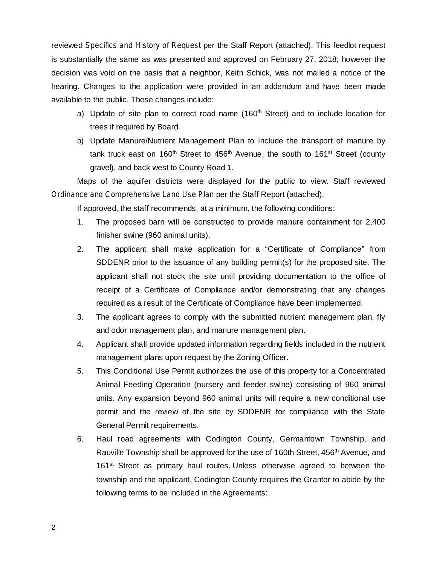reviewed Specifics and History of Request per the Staff Report (attached). This feedlot request is substantially the same as was presented and approved on February 27, 2018; however the decision was void on the basis that a neighbor, Keith Schick, was not mailed a notice of the hearing. Changes to the application were provided in an addendum and have been made available to the public. These changes include:

- a) Update of site plan to correct road name (160<sup>th</sup> Street) and to include location for trees if required by Board.
- b) Update Manure/Nutrient Management Plan to include the transport of manure by tank truck east on 160<sup>th</sup> Street to 456<sup>th</sup> Avenue, the south to 161<sup>st</sup> Street (county gravel), and back west to County Road 1.

Maps of the aquifer districts were displayed for the public to view. Staff reviewed *Ordinance and Comprehensive Land Use Plan per the Staff Report (attached).* 

If approved, the staff recommends, at a minimum, the following conditions:

- 1. The proposed barn will be constructed to provide manure containment for 2,400 finisher swine (960 animal units).
- 2. The applicant shall make application for a "Certificate of Compliance" from SDDENR prior to the issuance of any building permit(s) for the proposed site. The applicant shall not stock the site until providing documentation to the office of receipt of a Certificate of Compliance and/or demonstrating that any changes required as a result of the Certificate of Compliance have been implemented.
- 3. The applicant agrees to comply with the submitted nutrient management plan, fly and odor management plan, and manure management plan.
- 4. Applicant shall provide updated information regarding fields included in the nutrient management plans upon request by the Zoning Officer.
- 5. This Conditional Use Permit authorizes the use of this property for a Concentrated Animal Feeding Operation (nursery and feeder swine) consisting of 960 animal units. Any expansion beyond 960 animal units will require a new conditional use permit and the review of the site by SDDENR for compliance with the State General Permit requirements.
- 6. Haul road agreements with Codington County, Germantown Township, and Rauville Township shall be approved for the use of 160th Street, 456<sup>th</sup> Avenue, and 161<sup>st</sup> Street as primary haul routes. Unless otherwise agreed to between the township and the applicant, Codington County requires the Grantor to abide by the following terms to be included in the Agreements: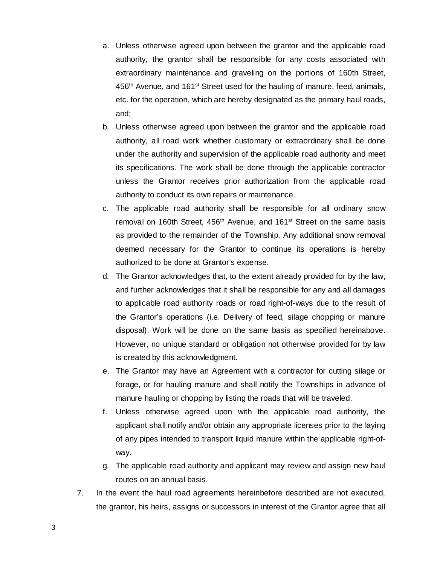- a. Unless otherwise agreed upon between the grantor and the applicable road authority, the grantor shall be responsible for any costs associated with extraordinary maintenance and graveling on the portions of 160th Street, 456<sup>th</sup> Avenue, and 161<sup>st</sup> Street used for the hauling of manure, feed, animals, etc. for the operation, which are hereby designated as the primary haul roads, and;
- b. Unless otherwise agreed upon between the grantor and the applicable road authority, all road work whether customary or extraordinary shall be done under the authority and supervision of the applicable road authority and meet its specifications. The work shall be done through the applicable contractor unless the Grantor receives prior authorization from the applicable road authority to conduct its own repairs or maintenance.
- c. The applicable road authority shall be responsible for all ordinary snow removal on 160th Street, 456<sup>th</sup> Avenue, and 161<sup>st</sup> Street on the same basis as provided to the remainder of the Township. Any additional snow removal deemed necessary for the Grantor to continue its operations is hereby authorized to be done at Grantor's expense.
- d. The Grantor acknowledges that, to the extent already provided for by the law, and further acknowledges that it shall be responsible for any and all damages to applicable road authority roads or road right-of-ways due to the result of the Grantor's operations (i.e. Delivery of feed, silage chopping or manure disposal). Work will be done on the same basis as specified hereinabove. However, no unique standard or obligation not otherwise provided for by law is created by this acknowledgment.
- e. The Grantor may have an Agreement with a contractor for cutting silage or forage, or for hauling manure and shall notify the Townships in advance of manure hauling or chopping by listing the roads that will be traveled.
- f. Unless otherwise agreed upon with the applicable road authority, the applicant shall notify and/or obtain any appropriate licenses prior to the laying of any pipes intended to transport liquid manure within the applicable right-ofway.
- g. The applicable road authority and applicant may review and assign new haul routes on an annual basis.
- 7. In the event the haul road agreements hereinbefore described are not executed, the grantor, his heirs, assigns or successors in interest of the Grantor agree that all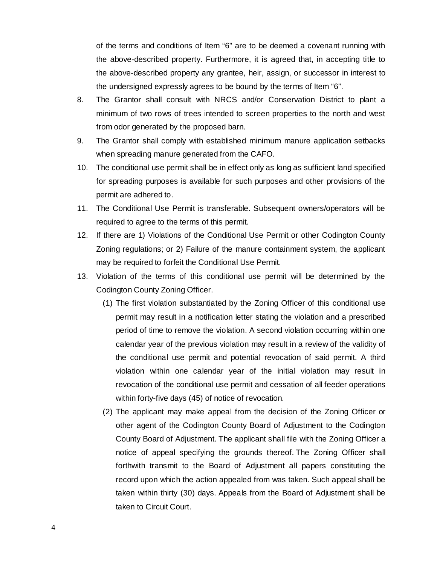of the terms and conditions of Item "6" are to be deemed a covenant running with the above-described property. Furthermore, it is agreed that, in accepting title to the above-described property any grantee, heir, assign, or successor in interest to the undersigned expressly agrees to be bound by the terms of Item "6".

- 8. The Grantor shall consult with NRCS and/or Conservation District to plant a minimum of two rows of trees intended to screen properties to the north and west from odor generated by the proposed barn.
- 9. The Grantor shall comply with established minimum manure application setbacks when spreading manure generated from the CAFO.
- 10. The conditional use permit shall be in effect only as long as sufficient land specified for spreading purposes is available for such purposes and other provisions of the permit are adhered to.
- 11. The Conditional Use Permit is transferable. Subsequent owners/operators will be required to agree to the terms of this permit.
- 12. If there are 1) Violations of the Conditional Use Permit or other Codington County Zoning regulations; or 2) Failure of the manure containment system, the applicant may be required to forfeit the Conditional Use Permit.
- 13. Violation of the terms of this conditional use permit will be determined by the Codington County Zoning Officer.
	- (1) The first violation substantiated by the Zoning Officer of this conditional use permit may result in a notification letter stating the violation and a prescribed period of time to remove the violation. A second violation occurring within one calendar year of the previous violation may result in a review of the validity of the conditional use permit and potential revocation of said permit. A third violation within one calendar year of the initial violation may result in revocation of the conditional use permit and cessation of all feeder operations within forty-five days (45) of notice of revocation.
	- (2) The applicant may make appeal from the decision of the Zoning Officer or other agent of the Codington County Board of Adjustment to the Codington County Board of Adjustment. The applicant shall file with the Zoning Officer a notice of appeal specifying the grounds thereof. The Zoning Officer shall forthwith transmit to the Board of Adjustment all papers constituting the record upon which the action appealed from was taken. Such appeal shall be taken within thirty (30) days. Appeals from the Board of Adjustment shall be taken to Circuit Court.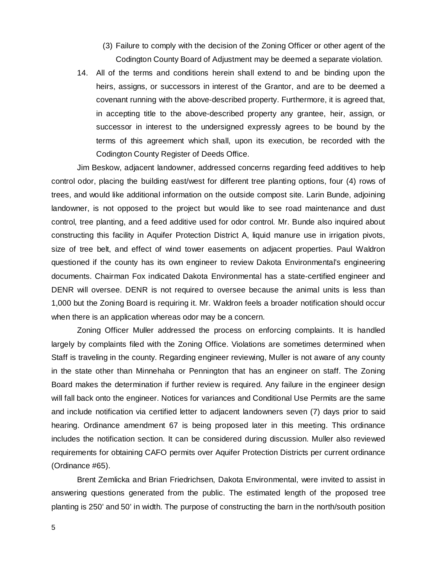- (3) Failure to comply with the decision of the Zoning Officer or other agent of the Codington County Board of Adjustment may be deemed a separate violation.
- 14. All of the terms and conditions herein shall extend to and be binding upon the heirs, assigns, or successors in interest of the Grantor, and are to be deemed a covenant running with the above-described property. Furthermore, it is agreed that, in accepting title to the above-described property any grantee, heir, assign, or successor in interest to the undersigned expressly agrees to be bound by the terms of this agreement which shall, upon its execution, be recorded with the Codington County Register of Deeds Office.

Jim Beskow, adjacent landowner, addressed concerns regarding feed additives to help control odor, placing the building east/west for different tree planting options, four (4) rows of trees, and would like additional information on the outside compost site. Larin Bunde, adjoining landowner, is not opposed to the project but would like to see road maintenance and dust control, tree planting, and a feed additive used for odor control. Mr. Bunde also inquired about constructing this facility in Aquifer Protection District A, liquid manure use in irrigation pivots, size of tree belt, and effect of wind tower easements on adjacent properties. Paul Waldron questioned if the county has its own engineer to review Dakota Environmental's engineering documents. Chairman Fox indicated Dakota Environmental has a state-certified engineer and DENR will oversee. DENR is not required to oversee because the animal units is less than 1,000 but the Zoning Board is requiring it. Mr. Waldron feels a broader notification should occur when there is an application whereas odor may be a concern.

Zoning Officer Muller addressed the process on enforcing complaints. It is handled largely by complaints filed with the Zoning Office. Violations are sometimes determined when Staff is traveling in the county. Regarding engineer reviewing, Muller is not aware of any county in the state other than Minnehaha or Pennington that has an engineer on staff. The Zoning Board makes the determination if further review is required. Any failure in the engineer design will fall back onto the engineer. Notices for variances and Conditional Use Permits are the same and include notification via certified letter to adjacent landowners seven (7) days prior to said hearing. Ordinance amendment 67 is being proposed later in this meeting. This ordinance includes the notification section. It can be considered during discussion. Muller also reviewed requirements for obtaining CAFO permits over Aquifer Protection Districts per current ordinance (Ordinance #65).

Brent Zemlicka and Brian Friedrichsen, Dakota Environmental, were invited to assist in answering questions generated from the public. The estimated length of the proposed tree planting is 250' and 50' in width. The purpose of constructing the barn in the north/south position

5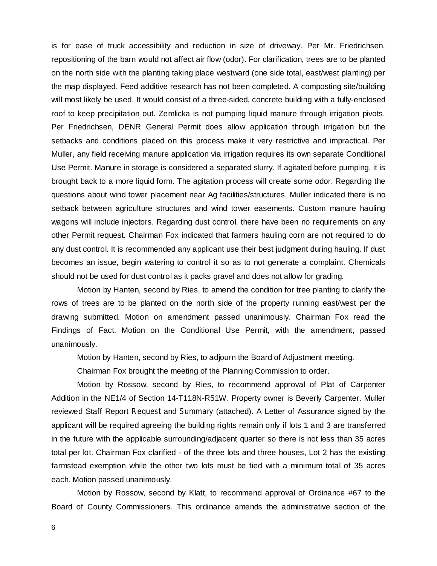is for ease of truck accessibility and reduction in size of driveway. Per Mr. Friedrichsen, repositioning of the barn would not affect air flow (odor). For clarification, trees are to be planted on the north side with the planting taking place westward (one side total, east/west planting) per the map displayed. Feed additive research has not been completed. A composting site/building will most likely be used. It would consist of a three-sided, concrete building with a fully-enclosed roof to keep precipitation out. Zemlicka is not pumping liquid manure through irrigation pivots. Per Friedrichsen, DENR General Permit does allow application through irrigation but the setbacks and conditions placed on this process make it very restrictive and impractical. Per Muller, any field receiving manure application via irrigation requires its own separate Conditional Use Permit. Manure in storage is considered a separated slurry. If agitated before pumping, it is brought back to a more liquid form. The agitation process will create some odor. Regarding the questions about wind tower placement near Ag facilities/structures, Muller indicated there is no setback between agriculture structures and wind tower easements. Custom manure hauling wagons will include injectors. Regarding dust control, there have been no requirements on any other Permit request. Chairman Fox indicated that farmers hauling corn are not required to do any dust control. It is recommended any applicant use their best judgment during hauling. If dust becomes an issue, begin watering to control it so as to not generate a complaint. Chemicals should not be used for dust control as it packs gravel and does not allow for grading.

Motion by Hanten, second by Ries, to amend the condition for tree planting to clarify the rows of trees are to be planted on the north side of the property running east/west per the drawing submitted. Motion on amendment passed unanimously. Chairman Fox read the Findings of Fact. Motion on the Conditional Use Permit, with the amendment, passed unanimously.

Motion by Hanten, second by Ries, to adjourn the Board of Adjustment meeting.

Chairman Fox brought the meeting of the Planning Commission to order.

Motion by Rossow, second by Ries, to recommend approval of Plat of Carpenter Addition in the NE1/4 of Section 14-T118N-R51W. Property owner is Beverly Carpenter. Muller reviewed Staff Report Request and Summary (attached). A Letter of Assurance signed by the applicant will be required agreeing the building rights remain only if lots 1 and 3 are transferred in the future with the applicable surrounding/adjacent quarter so there is not less than 35 acres total per lot. Chairman Fox clarified - of the three lots and three houses, Lot 2 has the existing farmstead exemption while the other two lots must be tied with a minimum total of 35 acres each. Motion passed unanimously.

Motion by Rossow, second by Klatt, to recommend approval of Ordinance #67 to the Board of County Commissioners. This ordinance amends the administrative section of the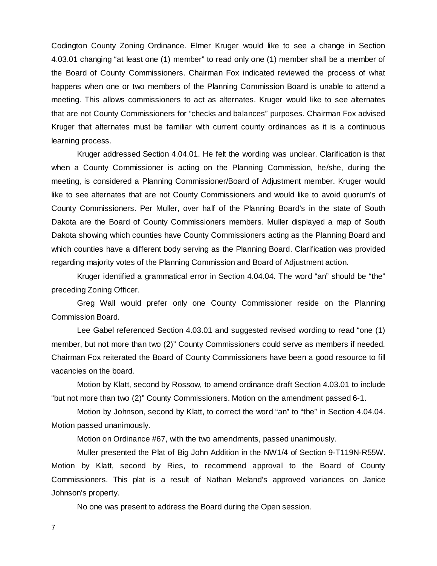Codington County Zoning Ordinance. Elmer Kruger would like to see a change in Section 4.03.01 changing "at least one (1) member" to read only one (1) member shall be a member of the Board of County Commissioners. Chairman Fox indicated reviewed the process of what happens when one or two members of the Planning Commission Board is unable to attend a meeting. This allows commissioners to act as alternates. Kruger would like to see alternates that are not County Commissioners for "checks and balances" purposes. Chairman Fox advised Kruger that alternates must be familiar with current county ordinances as it is a continuous learning process.

Kruger addressed Section 4.04.01. He felt the wording was unclear. Clarification is that when a County Commissioner is acting on the Planning Commission, he/she, during the meeting, is considered a Planning Commissioner/Board of Adjustment member. Kruger would like to see alternates that are not County Commissioners and would like to avoid quorum's of County Commissioners. Per Muller, over half of the Planning Board's in the state of South Dakota are the Board of County Commissioners members. Muller displayed a map of South Dakota showing which counties have County Commissioners acting as the Planning Board and which counties have a different body serving as the Planning Board. Clarification was provided regarding majority votes of the Planning Commission and Board of Adjustment action.

Kruger identified a grammatical error in Section 4.04.04. The word "an" should be "the" preceding Zoning Officer.

Greg Wall would prefer only one County Commissioner reside on the Planning Commission Board.

Lee Gabel referenced Section 4.03.01 and suggested revised wording to read "one (1) member, but not more than two (2)" County Commissioners could serve as members if needed. Chairman Fox reiterated the Board of County Commissioners have been a good resource to fill vacancies on the board.

Motion by Klatt, second by Rossow, to amend ordinance draft Section 4.03.01 to include "but not more than two (2)" County Commissioners. Motion on the amendment passed 6-1.

Motion by Johnson, second by Klatt, to correct the word "an" to "the" in Section 4.04.04. Motion passed unanimously.

Motion on Ordinance #67, with the two amendments, passed unanimously.

Muller presented the Plat of Big John Addition in the NW1/4 of Section 9-T119N-R55W. Motion by Klatt, second by Ries, to recommend approval to the Board of County Commissioners. This plat is a result of Nathan Meland's approved variances on Janice Johnson's property.

No one was present to address the Board during the Open session.

7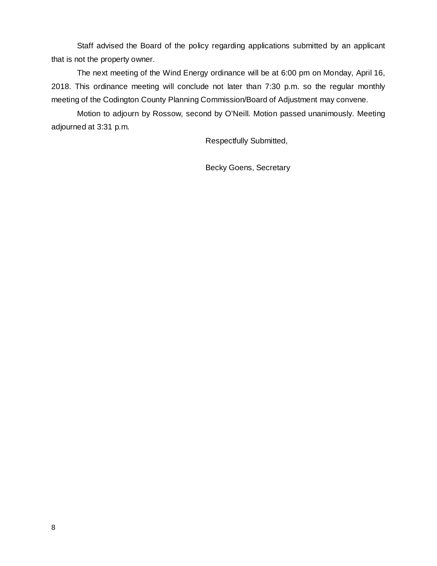Staff advised the Board of the policy regarding applications submitted by an applicant that is not the property owner.

The next meeting of the Wind Energy ordinance will be at 6:00 pm on Monday, April 16, 2018. This ordinance meeting will conclude not later than 7:30 p.m. so the regular monthly meeting of the Codington County Planning Commission/Board of Adjustment may convene.

Motion to adjourn by Rossow, second by O'Neill. Motion passed unanimously. Meeting adjourned at 3:31 p.m.

Respectfully Submitted,

Becky Goens, Secretary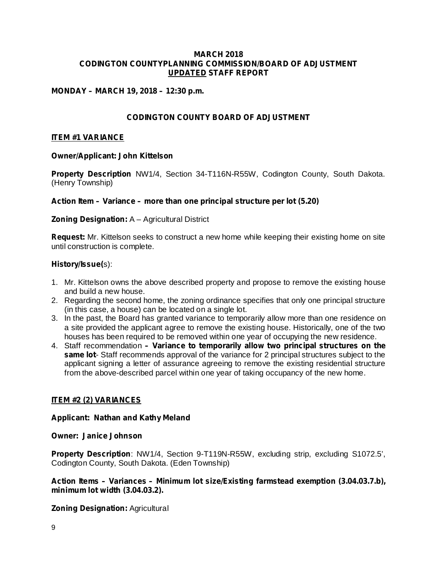#### **MARCH 2018 CODINGTON COUNTYPLANNING COMMISSION/BOARD OF ADJUSTMENT UPDATED STAFF REPORT**

# **MONDAY – MARCH 19, 2018 – 12:30 p.m.**

# **CODINGTON COUNTY BOARD OF ADJUSTMENT**

#### **ITEM #1 VARIANCE**

#### **Owner/Applicant: John Kittelson**

Property Description NW1/4, Section 34-T116N-R55W, Codington County, South Dakota. (Henry Township)

*Action Item – Variance – more than one principal structure per lot (5.20)*

#### **Zoning Designation: A - Agricultural District**

**Request:** Mr. Kittelson seeks to construct a new home while keeping their existing home on site until construction is complete.

#### s): **History/Issue(**

- 1. Mr. Kittelson owns the above described property and propose to remove the existing house and build a new house.
- 2. Regarding the second home, the zoning ordinance specifies that only one principal structure (in this case, a house) can be located on a single lot.
- 3. In the past, the Board has granted variance to temporarily allow more than one residence on a site provided the applicant agree to remove the existing house. Historically, one of the two houses has been required to be removed within one year of occupying the new residence.
- 4. Staff recommendation *– Variance to temporarily allow two principal structures on the* same lot-Staff recommends approval of the variance for 2 principal structures subject to the applicant signing a letter of assurance agreeing to remove the existing residential structure from the above-described parcel within one year of taking occupancy of the new home.

### **ITEM #2 (2) VARIANCES**

#### **Applicant: Nathan and Kathy Meland**

#### **Owner: Janice Johnson**

Property Description: NW1/4, Section 9-T119N-R55W, excluding strip, excluding S1072.5', Codington County, South Dakota. (Eden Township)

# **Action Items – Variances – Minimum lot size/Existing farmstead exemption (3.04.03.7.b), minimum lot width (3.04.03.2).**

#### **Zoning Designation: Agricultural**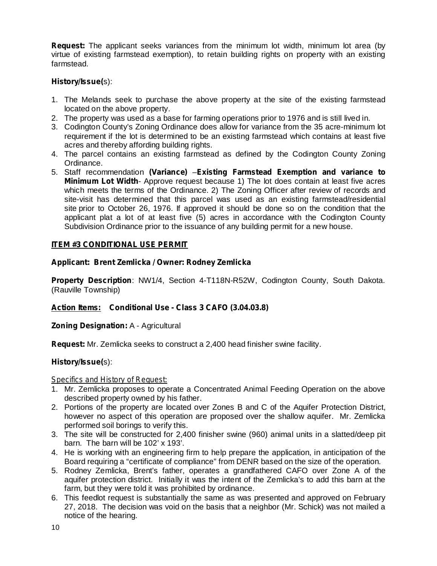**Request:** The applicant seeks variances from the minimum lot width, minimum lot area (by virtue of existing farmstead exemption), to retain building rights on property with an existing farmstead.

# s): **History/Issue(**

- 1. The Melands seek to purchase the above property at the site of the existing farmstead located on the above property.
- 2. The property was used as a base for farming operations prior to 1976 and is still lived in.
- 3. Codington County's Zoning Ordinance does allow for variance from the 35 acre-minimum lot requirement if the lot is determined to be an existing farmstead which contains at least five acres and thereby affording building rights.
- 4. The parcel contains an existing farmstead as defined by the Codington County Zoning Ordinance.
- 5. Staff recommendation (Variance) Existing Farmstead Exemption and variance to *Minimum Lot Width*- Approve request because 1) The lot does contain at least five acres which meets the terms of the Ordinance. 2) The Zoning Officer after review of records and site-visit has determined that this parcel was used as an existing farmstead/residential site prior to October 26, 1976. If approved it should be done so on the condition that the applicant plat a lot of at least five (5) acres in accordance with the Codington County Subdivision Ordinance prior to the issuance of any building permit for a new house.

### **ITEM #3 CONDITIONAL USE PERMIT**

### **Applicant: Brent Zemlicka / Owner: Rodney Zemlicka**

Property Description: NW1/4, Section 4-T118N-R52W, Codington County, South Dakota. (Rauville Township)

### **Action Items: Conditional Use - Class 3 CAFO (3.04.03.8)**

**Zoning Designation: A - Agricultural** 

Request: Mr. Zemlicka seeks to construct a 2,400 head finisher swine facility.

### s): **History/Issue(**

#### *Specifics and History of Request:*

- 1. Mr. Zemlicka proposes to operate a Concentrated Animal Feeding Operation on the above described property owned by his father.
- 2. Portions of the property are located over Zones B and C of the Aquifer Protection District, however no aspect of this operation are proposed over the shallow aquifer. Mr. Zemlicka performed soil borings to verify this.
- 3. The site will be constructed for 2,400 finisher swine (960) animal units in a slatted/deep pit barn. The barn will be 102' x 193'.
- 4. He is working with an engineering firm to help prepare the application, in anticipation of the Board requiring a "certificate of compliance" from DENR based on the size of the operation.
- 5. Rodney Zemlicka, Brent's father, operates a grandfathered CAFO over Zone A of the aquifer protection district. Initially it was the intent of the Zemlicka's to add this barn at the farm, but they were told it was prohibited by ordinance.
- 6. This feedlot request is substantially the same as was presented and approved on February 27, 2018. The decision was void on the basis that a neighbor (Mr. Schick) was not mailed a notice of the hearing.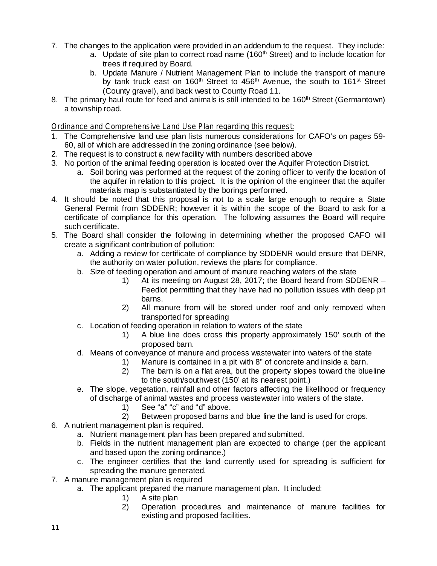- 7. The changes to the application were provided in an addendum to the request. They include:
	- a. Update of site plan to correct road name (160<sup>th</sup> Street) and to include location for trees if required by Board.
		- b. Update Manure / Nutrient Management Plan to include the transport of manure by tank truck east on 160<sup>th</sup> Street to 456<sup>th</sup> Avenue, the south to 161<sup>st</sup> Street (County gravel), and back west to County Road 11.
- 8. The primary haul route for feed and animals is still intended to be 160<sup>th</sup> Street (Germantown) a township road.

# *Ordinance and Comprehensive Land Use Plan regarding this request:*

- 1. The Comprehensive land use plan lists numerous considerations for CAFO's on pages 59- 60, all of which are addressed in the zoning ordinance (see below).
- 2. The request is to construct a new facility with numbers described above
- 3. No portion of the animal feeding operation is located over the Aquifer Protection District.
	- a. Soil boring was performed at the request of the zoning officer to verify the location of the aquifer in relation to this project. It is the opinion of the engineer that the aquifer materials map is substantiated by the borings performed.
- 4. It should be noted that this proposal is not to a scale large enough to require a State General Permit from SDDENR; however it is within the scope of the Board to ask for a certificate of compliance for this operation. The following assumes the Board will require such certificate.
- 5. The Board shall consider the following in determining whether the proposed CAFO will create a significant contribution of pollution:
	- a. Adding a review for certificate of compliance by SDDENR would ensure that DENR, the authority on water pollution, reviews the plans for compliance.
	- b. Size of feeding operation and amount of manure reaching waters of the state
		- 1) At its meeting on August 28, 2017; the Board heard from SDDENR Feedlot permitting that they have had no pollution issues with deep pit barns.
		- 2) All manure from will be stored under roof and only removed when transported for spreading
	- c. Location of feeding operation in relation to waters of the state
		- 1) A blue line does cross this property approximately 150' south of the proposed barn.
	- d. Means of conveyance of manure and process wastewater into waters of the state
		- 1) Manure is contained in a pit with 8" of concrete and inside a barn.
		- 2) The barn is on a flat area, but the property slopes toward the blueline to the south/southwest (150' at its nearest point.)
	- e. The slope, vegetation, rainfall and other factors affecting the likelihood or frequency of discharge of animal wastes and process wastewater into waters of the state.
		- 1) See "a" "c" and "d" above.
		- 2) Between proposed barns and blue line the land is used for crops.
- 6. A nutrient management plan is required.
	- a. Nutrient management plan has been prepared and submitted.
	- b. Fields in the nutrient management plan are expected to change (per the applicant and based upon the zoning ordinance.)
	- c. The engineer certifies that the land currently used for spreading is sufficient for spreading the manure generated.
- 7. A manure management plan is required
	- a. The applicant prepared the manure management plan. It included:
		- 1) A site plan
		- 2) Operation procedures and maintenance of manure facilities for existing and proposed facilities.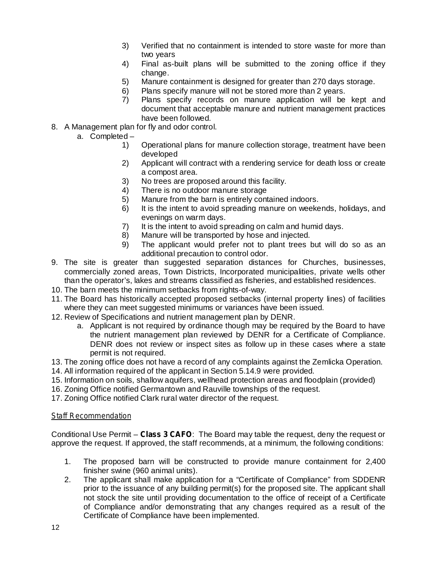- 3) Verified that no containment is intended to store waste for more than two years
- 4) Final as-built plans will be submitted to the zoning office if they change.
- 5) Manure containment is designed for greater than 270 days storage.
- 6) Plans specify manure will not be stored more than 2 years.
- 7) Plans specify records on manure application will be kept and document that acceptable manure and nutrient management practices have been followed.
- 8. A Management plan for fly and odor control.
	- a. Completed
		- 1) Operational plans for manure collection storage, treatment have been developed
		- 2) Applicant will contract with a rendering service for death loss or create a compost area.
		- 3) No trees are proposed around this facility.
		- 4) There is no outdoor manure storage
		- 5) Manure from the barn is entirely contained indoors.
		- 6) It is the intent to avoid spreading manure on weekends, holidays, and evenings on warm days.
		- 7) It is the intent to avoid spreading on calm and humid days.
		- 8) Manure will be transported by hose and injected.
		- 9) The applicant would prefer not to plant trees but will do so as an additional precaution to control odor.
- 9. The site is greater than suggested separation distances for Churches, businesses, commercially zoned areas, Town Districts, Incorporated municipalities, private wells other than the operator's, lakes and streams classified as fisheries, and established residences.
- 10. The barn meets the minimum setbacks from rights-of-way.
- 11. The Board has historically accepted proposed setbacks (internal property lines) of facilities where they can meet suggested minimums or variances have been issued.
- 12. Review of Specifications and nutrient management plan by DENR.
	- a. Applicant is not required by ordinance though may be required by the Board to have the nutrient management plan reviewed by DENR for a Certificate of Compliance. DENR does not review or inspect sites as follow up in these cases where a state permit is not required.
- 13. The zoning office does not have a record of any complaints against the Zemlicka Operation.
- 14. All information required of the applicant in Section 5.14.9 were provided.
- 15. Information on soils, shallow aquifers, wellhead protection areas and floodplain (provided)
- 16. Zoning Office notified Germantown and Rauville townships of the request.
- 17. Zoning Office notified Clark rural water director of the request.

#### *Staff Recommendation*

Conditional Use Permit – Class 3 CAFO: The Board may table the request, deny the request or approve the request. If approved, the staff recommends, at a minimum, the following conditions:

- 1. The proposed barn will be constructed to provide manure containment for 2,400 finisher swine (960 animal units).
- 2. The applicant shall make application for a "Certificate of Compliance" from SDDENR prior to the issuance of any building permit(s) for the proposed site. The applicant shall not stock the site until providing documentation to the office of receipt of a Certificate of Compliance and/or demonstrating that any changes required as a result of the Certificate of Compliance have been implemented.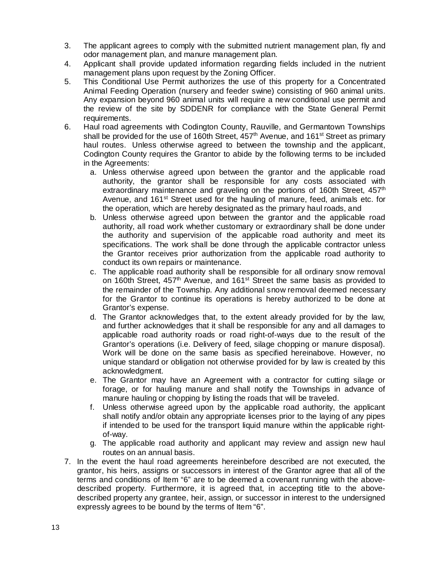- 3. The applicant agrees to comply with the submitted nutrient management plan, fly and odor management plan, and manure management plan.
- 4. Applicant shall provide updated information regarding fields included in the nutrient management plans upon request by the Zoning Officer.
- 5. This Conditional Use Permit authorizes the use of this property for a Concentrated Animal Feeding Operation (nursery and feeder swine) consisting of 960 animal units. Any expansion beyond 960 animal units will require a new conditional use permit and the review of the site by SDDENR for compliance with the State General Permit requirements.
- 6. Haul road agreements with Codington County, Rauville, and Germantown Townships shall be provided for the use of 160th Street, 457<sup>th</sup> Avenue, and 161<sup>st</sup> Street as primary haul routes. Unless otherwise agreed to between the township and the applicant, Codington County requires the Grantor to abide by the following terms to be included in the Agreements:
	- a. Unless otherwise agreed upon between the grantor and the applicable road authority, the grantor shall be responsible for any costs associated with extraordinary maintenance and graveling on the portions of 160th Street, 457<sup>th</sup> Avenue, and 161<sup>st</sup> Street used for the hauling of manure, feed, animals etc. for the operation, which are hereby designated as the primary haul roads, and
	- b. Unless otherwise agreed upon between the grantor and the applicable road authority, all road work whether customary or extraordinary shall be done under the authority and supervision of the applicable road authority and meet its specifications. The work shall be done through the applicable contractor unless the Grantor receives prior authorization from the applicable road authority to conduct its own repairs or maintenance.
	- c. The applicable road authority shall be responsible for all ordinary snow removal on 160th Street, 457<sup>th</sup> Avenue, and 161<sup>st</sup> Street the same basis as provided to the remainder of the Township. Any additional snow removal deemed necessary for the Grantor to continue its operations is hereby authorized to be done at Grantor's expense.
	- d. The Grantor acknowledges that, to the extent already provided for by the law, and further acknowledges that it shall be responsible for any and all damages to applicable road authority roads or road right-of-ways due to the result of the Grantor's operations (i.e. Delivery of feed, silage chopping or manure disposal). Work will be done on the same basis as specified hereinabove. However, no unique standard or obligation not otherwise provided for by law is created by this acknowledgment.
	- e. The Grantor may have an Agreement with a contractor for cutting silage or forage, or for hauling manure and shall notify the Townships in advance of manure hauling or chopping by listing the roads that will be traveled.
	- f. Unless otherwise agreed upon by the applicable road authority, the applicant shall notify and/or obtain any appropriate licenses prior to the laying of any pipes if intended to be used for the transport liquid manure within the applicable rightof-way.
	- g. The applicable road authority and applicant may review and assign new haul routes on an annual basis.
- 7. In the event the haul road agreements hereinbefore described are not executed, the grantor, his heirs, assigns or successors in interest of the Grantor agree that all of the terms and conditions of Item "6" are to be deemed a covenant running with the abovedescribed property. Furthermore, it is agreed that, in accepting title to the abovedescribed property any grantee, heir, assign, or successor in interest to the undersigned expressly agrees to be bound by the terms of Item "6".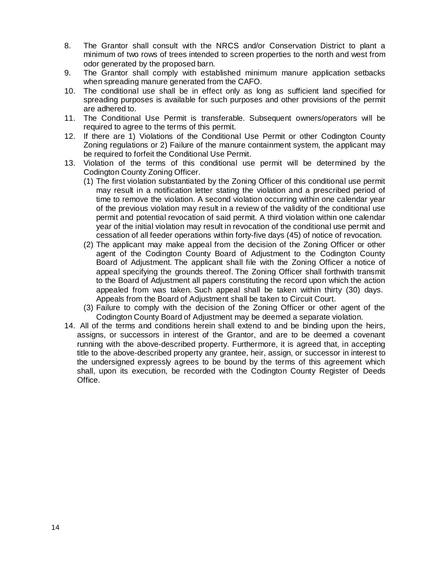- 8. The Grantor shall consult with the NRCS and/or Conservation District to plant a minimum of two rows of trees intended to screen properties to the north and west from odor generated by the proposed barn.
- 9. The Grantor shall comply with established minimum manure application setbacks when spreading manure generated from the CAFO.
- 10. The conditional use shall be in effect only as long as sufficient land specified for spreading purposes is available for such purposes and other provisions of the permit are adhered to.
- 11. The Conditional Use Permit is transferable. Subsequent owners/operators will be required to agree to the terms of this permit.
- 12. If there are 1) Violations of the Conditional Use Permit or other Codington County Zoning regulations or 2) Failure of the manure containment system, the applicant may be required to forfeit the Conditional Use Permit.
- 13. Violation of the terms of this conditional use permit will be determined by the Codington County Zoning Officer.
	- (1) The first violation substantiated by the Zoning Officer of this conditional use permit may result in a notification letter stating the violation and a prescribed period of time to remove the violation. A second violation occurring within one calendar year of the previous violation may result in a review of the validity of the conditional use permit and potential revocation of said permit. A third violation within one calendar year of the initial violation may result in revocation of the conditional use permit and cessation of all feeder operations within forty-five days (45) of notice of revocation.
	- (2) The applicant may make appeal from the decision of the Zoning Officer or other agent of the Codington County Board of Adjustment to the Codington County Board of Adjustment. The applicant shall file with the Zoning Officer a notice of appeal specifying the grounds thereof. The Zoning Officer shall forthwith transmit to the Board of Adjustment all papers constituting the record upon which the action appealed from was taken. Such appeal shall be taken within thirty (30) days. Appeals from the Board of Adjustment shall be taken to Circuit Court.
	- (3) Failure to comply with the decision of the Zoning Officer or other agent of the Codington County Board of Adjustment may be deemed a separate violation.
- 14. All of the terms and conditions herein shall extend to and be binding upon the heirs, assigns, or successors in interest of the Grantor, and are to be deemed a covenant running with the above-described property. Furthermore, it is agreed that, in accepting title to the above-described property any grantee, heir, assign, or successor in interest to the undersigned expressly agrees to be bound by the terms of this agreement which shall, upon its execution, be recorded with the Codington County Register of Deeds Office.